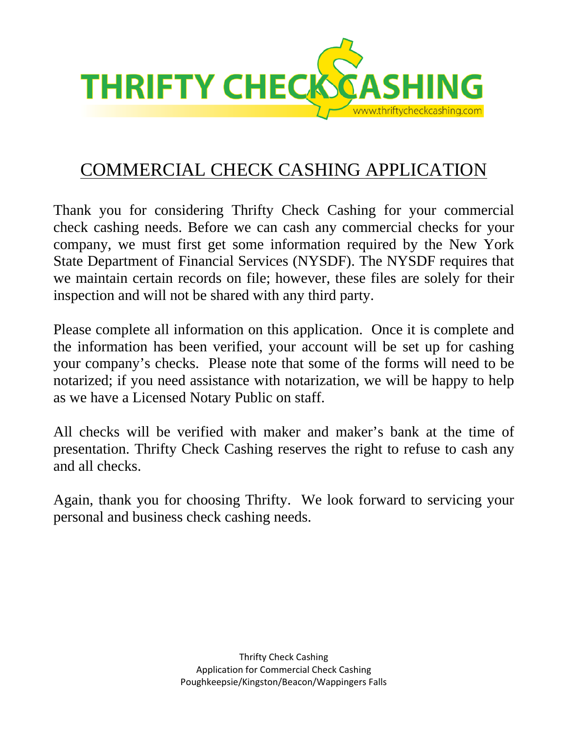

## COMMERCIAL CHECK CASHING APPLICATION

Thank you for considering Thrifty Check Cashing for your commercial check cashing needs. Before we can cash any commercial checks for your company, we must first get some information required by the New York State Department of Financial Services (NYSDF). The NYSDF requires that we maintain certain records on file; however, these files are solely for their inspection and will not be shared with any third party.

Please complete all information on this application. Once it is complete and the information has been verified, your account will be set up for cashing your company's checks. Please note that some of the forms will need to be notarized; if you need assistance with notarization, we will be happy to help as we have a Licensed Notary Public on staff.

All checks will be verified with maker and maker's bank at the time of presentation. Thrifty Check Cashing reserves the right to refuse to cash any and all checks.

Again, thank you for choosing Thrifty. We look forward to servicing your personal and business check cashing needs.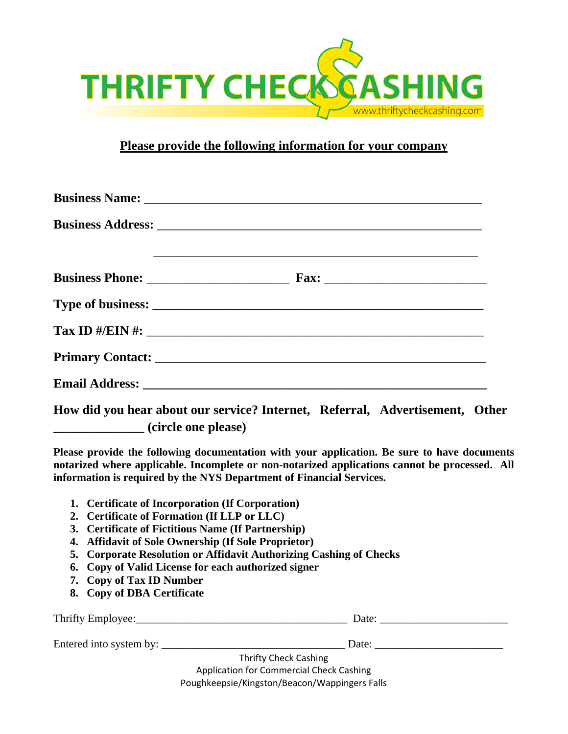

## **Please provide the following information for your company**

| $\frac{1}{\text{Tax ID }}\frac{H}{H}\left(\frac{1}{H}\right)$                                        |
|------------------------------------------------------------------------------------------------------|
|                                                                                                      |
|                                                                                                      |
| $\overline{r}$ is the contract of $\overline{r}$ in $\overline{r}$ is the contract of $\overline{r}$ |

**How did you hear about our service? Internet, Referral, Advertisement, Other \_\_\_\_\_\_\_\_\_\_\_\_\_\_ (circle one please)**

**Please provide the following documentation with your application. Be sure to have documents notarized where applicable. Incomplete or non-notarized applications cannot be processed. All information is required by the NYS Department of Financial Services.**

- **1. Certificate of Incorporation (If Corporation)**
- **2. Certificate of Formation (If LLP or LLC)**
- **3. Certificate of Fictitious Name (If Partnership)**
- **4. Affidavit of Sole Ownership (If Sole Proprietor)**
- **5. Corporate Resolution or Affidavit Authorizing Cashing of Checks**
- **6. Copy of Valid License for each authorized signer**
- **7. Copy of Tax ID Number**
- **8. Copy of DBA Certificate**

| Thrifty Employee:                             | Date: |  |  |  |
|-----------------------------------------------|-------|--|--|--|
|                                               |       |  |  |  |
| Entered into system by:                       | Date: |  |  |  |
| <b>Thrifty Check Cashing</b>                  |       |  |  |  |
| Application for Commercial Check Cashing      |       |  |  |  |
| Poughkeepsie/Kingston/Beacon/Wappingers Falls |       |  |  |  |